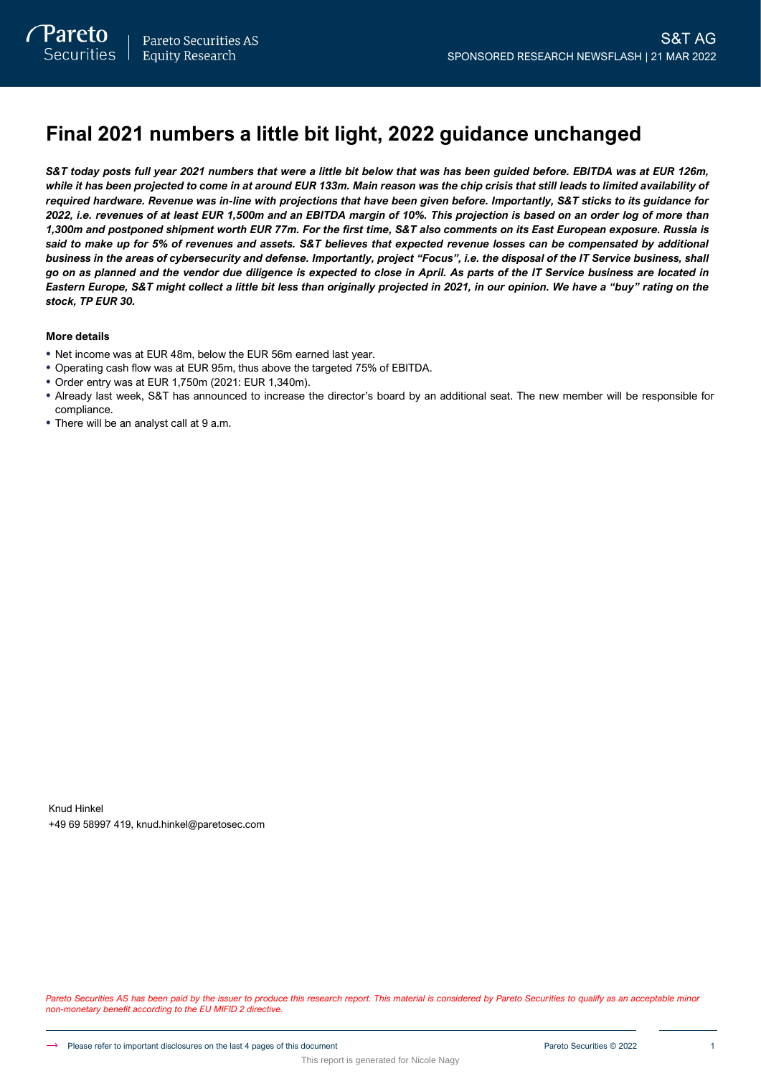# **Final 2021 numbers a little bit light, 2022 guidance unchanged**

*S&T today posts full year 2021 numbers that were a little bit below that was has been guided before. EBITDA was at EUR 126m, while it has been projected to come in at around EUR 133m. Main reason was the chip crisis that still leads to limited availability of required hardware. Revenue was in-line with projections that have been given before. Importantly, S&T sticks to its guidance for 2022, i.e. revenues of at least EUR 1,500m and an EBITDA margin of 10%. This projection is based on an order log of more than 1,300m and postponed shipment worth EUR 77m. For the first time, S&T also comments on its East European exposure. Russia is said to make up for 5% of revenues and assets. S&T believes that expected revenue losses can be compensated by additional business in the areas of cybersecurity and defense. Importantly, project "Focus", i.e. the disposal of the IT Service business, shall go on as planned and the vendor due diligence is expected to close in April. As parts of the IT Service business are located in Eastern Europe, S&T might collect a little bit less than originally projected in 2021, in our opinion. We have a "buy" rating on the stock, TP EUR 30.*

### **More details**

- Net income was at EUR 48m, below the EUR 56m earned last year.
- Operating cash flow was at EUR 95m, thus above the targeted 75% of EBITDA.
- Order entry was at EUR 1,750m (2021: EUR 1,340m).
- Already last week, S&T has announced to increase the director's board by an additional seat. The new member will be responsible for compliance.
- There will be an analyst call at 9 a.m.

Knud Hinkel +49 69 58997 419, knud.hinkel@paretosec.com

Pareto Securities AS has been paid by the issuer to produce this research report. This material is considered by Pareto Securities to qualify as an acceptable minor *non-monetary benefit according to the EU MIFID 2 directive.*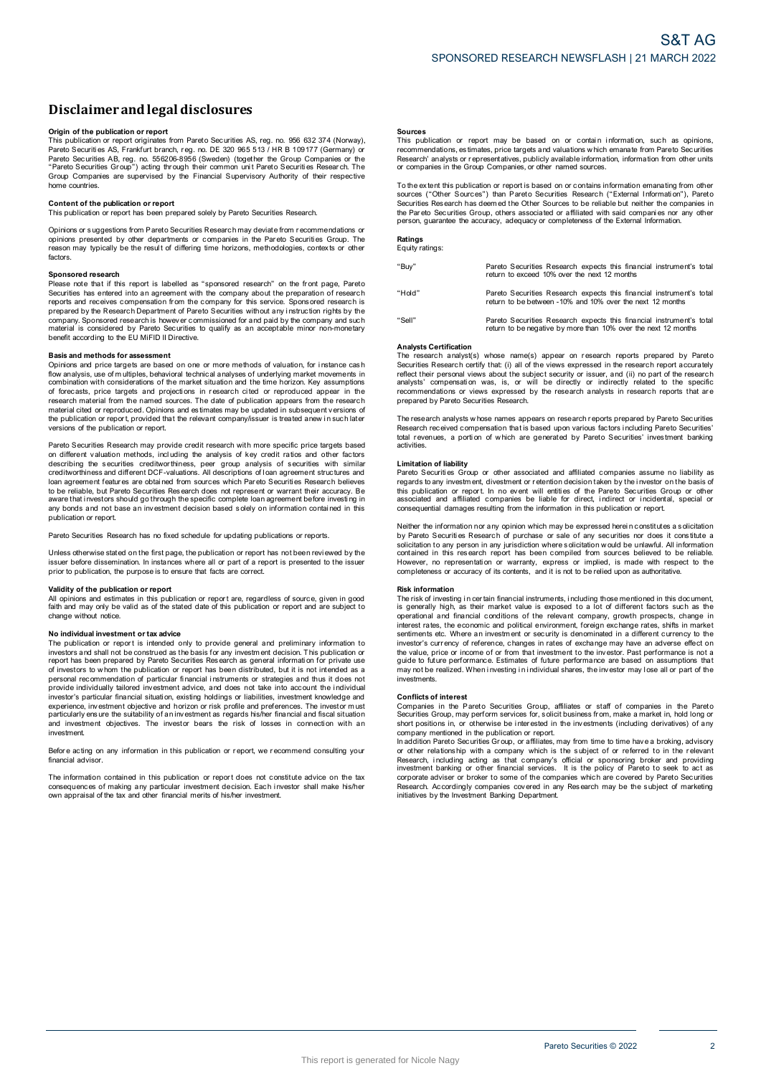# **Disclaimerandlegal disclosures Disclaimer and legal disclosures<br>Origin of the publication or report<br>This publication or report originates from Pareto Securities AS, reg. no. 956 632 374 (Norway),**

**DISCIAIMET AND IEgal dISCIOSUTES**<br>This publication or report<br>This publication or report originates from Pareto Securities AS, reg. no. 956 632 374 (Norway)<br>Pareto Securities AS, Frankfurt branch, reg. no. DE 320 965 513 / Pareto Securities AB, reg. no. 556206-8956 (Sweden) (together the Group Companies or the **Origin of the publication or report**<br>This publication or report originates from Pareto Securities AS, reg. no. 956 632 374 (Norway) or<br>Pareto Securities AS, Frankfurt branch, reg. no. DE 320 965 513 / HR B 109177 (Germany home countries. **Contract Contract Contents of oup"** acting the<br>Group Companies are supervised by<br>home countries.<br>Content of the publication or report<br>This publication or report has been pre The coup Companies are supervised by the Financial Supervisory Authority of their respective<br>home countries.<br>**Content of the publication or report**<br>This publication or report<br>This publication or report as been prepared sol

Opinions or s uggestions from Pareto Securities Research may deviate from r ecommendations or **Content of the publication or report**<br>This publication or report has been prepared solely by Pareto Securities Research.<br>Opinions or suggestions from Pareto Securities Research may deviate from recommendations or<br>perinons factors. Please nay typically be the result of differing time horizons, methodologies, contexts or other<br>factors.<br>Sponsored research<br>Please note that if this report is labelled as "sponsored research" on the front page, Pareto<br>Secu

**Sponsored research**<br>Please note that if this report is labelled as "sponsored research" on the front page, Pareto Factors.<br>
Sponsored research<br>
Please note that if this report is labelled as "sponsored research" on the front page, Pareto<br>
Securities has entered into an agreement with the company about the preparation of research<br>
repe

### **Basis and methods for assessment**

contential is considered by Pareto Securities to qualify as an acceptable minor non-monetary<br>benefit according to the EU MiFID II Directive.<br>**Basis and methods for assessment**<br>Opinions and price targets are based on one or research material from the named sources. The date of publication appears from the research material cited or reproduced. Opinions and estimates may be updated in subsequent versions of flow analysis, use of multiples, behavioral technical analyses of underlying market movements in combination with considerations of the market situation and the time horizon. Key assumptions of forecasts, orice targets and the complimation with considerations of the market situation and the time horizon. Key assumptions of forecasts, price targets and projections in research cited or reproduced appear in the research material from the named

Pareto Securities Research may provide credit research with more specific price targets based on different valuation methods, including the analysis of key credit ratios and other factors on different valuation or report, provided that the relevant company/issuer is treated anew in such later<br>versions of the publication or report.<br>Pareto Securities Research may provide credit research with more specific pri Persions of the publication or report.<br>Pareto Securities Research may provide credit research with more specific price targets based<br>on different valuation methods, including the analysis of key credit ratios and other fac loan agreement features are obtained from sources which Pareto Securities Research believes<br>to be reliable, but Pareto Securities Research does not represent or warrant their accuracy. Be<br>aware that investors should go thr publication or report.

Pareto Securities Research has no fixed schedule for updating publications or reports.

example of the base and interest and the second translation of report.<br>Pareto Securities Research has no fixed schedule for updating publications or reports.<br>Unless otherwise stated on the first page, the publication or re Unless otherwise stated on the first page, the publication or report has not been reviewed by the<br>
pusies the fore dissemination. In instances where all or part of a report is presented to the issuer<br> **propertion**<br>
All opi

faith and may only be valid as of the state as well as of the state of the state of the state of the publication, the purpose is to ensure that facts are correct.<br> **Validity of the publication or report**<br>
All opinions and change without notice. **N or investment or the publication or report are, regardless of source, given in good<br>faith and may only be valid as of the stated date of this publication or report and are subject to<br>change without notice.<br>The publicati** 

Change without intesting to the state of the state of the presence of the presence in the state of the publication or report is intended only to provide general and preliminary information to investors and shall not be con The publication of reports and shall not be construed as the basis for any investment and publing internal in<br>the publication of report has been prepared by Pareto Securities. Research as general information for private us investment. experience, investment objective and horizon or risk profile and preferences. The investor must particularly ensure the suitability of an investment as regards his/her financial and fiscal situation and investment objectiv

financial advisor

Investment<br>Before acting on any information in this publication or report, we recommend consulting your<br>financial advisor.<br>Consequences of making any particular investment decision. Each investor shall make his/her<br>consequ

### **Sources**

**Sources**<br>This publication or report may be based on or contain information, such as opinions,<br>recommendations, estimates, price targets and valuations which emanate from Pareto Securities<br>Research' analysts or representat **Sources**<br>This publication or report may be based on or contain<br>recommendations, estimates, price targets and valuations which<br>Research' analysts or representatives, publicly available informa<br>or companies in the Group Com The extent this publication or report is based on or contains which emanate from Pareto Securities<br>Research' analysts or representatives, publicly available information, information from other units<br>or companies in the Gro

Securities Res earch the Group Companies, or other named sources.<br>To the extent this publication or report is based on or contains information emanating from other<br>Sources ("Other Sources") than Pareto Securities Research person, guarantee the accuracy, adequacy or completeness of the External Information.

## **Ratings** Equity ratings:

"Buy" Pareto Securities Research expects this financial instrument's total return to exceed 10% over the next 12 months "Hold" Pareto Securities Research expects this financial instrument's total Pareto Securities Research expects this financial instrume<br>return to exceed 10% over the next 12 months<br>Pareto Securities Research expects this financial instrume<br>return to be between -10% and 10% over the next 12 months "Sell" Pareto Securities Research expects this financial instrument's total Pareto Securities Research expects this financial instrument's<br>return to be between -10% and 10% over the next 12 months<br>Pareto Securities Research expects this financial instrument's<br>return to be negative by more than 10%

### **Analysts Certification**

Analysts Schmodhon<br>The research analyst(s) whose name(s) appear on research reports prepared by Pareto Securities Research certify that: (i) all of the views expressed in the research report accurately reflect their personal views about the subject security or issuer, and (ii) no part of the research Analysts Certification<br>The research analyst(s) whose name(s) appear on research reports prepared by Pareto<br>Securities Research certify that (i) all of the views expressed in the research report accurately<br>reflect their per The research analysts whose names appears on research analysts in research reports that are<br>prepared by Pareto Securities Research.<br>The research analysts whose names appears on research reports prepared by Pareto Securitie

recommendations or views expressed by the research analysts in research reports that are prepared by Pareto Securities' Research.<br>The research analysts whose names appears on research reports prepared by Pareto Securities' activities. **Limitation**<br> **Research received** contractivities.<br> **Limitation of liability**<br> **Pareto Securities Green** total revenues, a portion of which are generated by Pareto Securities' investment banking<br>activities.<br> **Limitation of liability**<br>
Pareto Securities Group or other associated and affiliated companies assume no liability as<br>

Pareto Securities Group or other associated and affiliated companies assume no liability as Derivation of liability<br>
Limitation of liability<br>
Pareto Securities Group or other associated and affiliated companies assume no liability as<br>
regards to any investment, divestment or retention decision taken by the invest Neither the information or report. In no event will entities of the Pareto Securities Group or other<br>associated and affiliated companies be liable for direct, indirect or incidental, special or<br>consequential damages result

associated and affiliated companies be liable for direct, indirect or incidental, special or<br>associated and affiliated companies be liable for direct, indirect or incidental, special or<br>consequential damages resulting from

### **Risk information**

However, no representation or warranty, express or implied, is made with respect to the completeness or accuracy of its contents, and it is not to be relied upon as authoritative.<br> **Risk information**<br>
The risk of investing completeness or accuracy of its contents, and it is not to be relied upon as authoritative.<br> **Risk information**<br> **Risk information**<br> **Risk information**<br> **Risk information**<br> **Risk information**<br> **Risk information**<br> **Risk inf** interest rates, the economic and political environment, foreign exchange rates, shifts in market<br>'sentiments etc. Where an investor's currency to reference, changes in rates of exchange may have an adverse effect on<br>invest the value of or income or income or income or the relevant company, growth prospects, change in interest rates, the economic and political environment, foreign exchange rates, shifts in market sentiments etc. Where an inve marious, is common our pulsions are investment of security is denominated in a different currency to the investor's currency of reference, changes in rates of exchange may have an adverse effect on the value, price or inco investments. **Conflicts c** for the performal public to future performal public method.<br> **Conflicts of interest**<br> **Conflicts of interest** 

grave of the realized. When investing in individual shares, the investor may lose all or part of the<br>investments.<br>Conflicts of interest<br>Companies in the Pareto Securities Group, affiliates or staff of companies in the Pare

Companies in the Pareto Securities Group, affiliates or staff of companies in the Pareto Securities Group, may perform services for, solicit business from, make a market in, hold long or short positions in, or otherwise be Research, including acting as that company's official or sponsoring broker and providing<br>investment banking or other financial services. It is the policy of Pareto to seek to act as<br>corporate adviser or broker to some of t Experience actives the Investment Banking Department.<br>
Research may be the subject of marketing initiatives by the Investment Banking Department.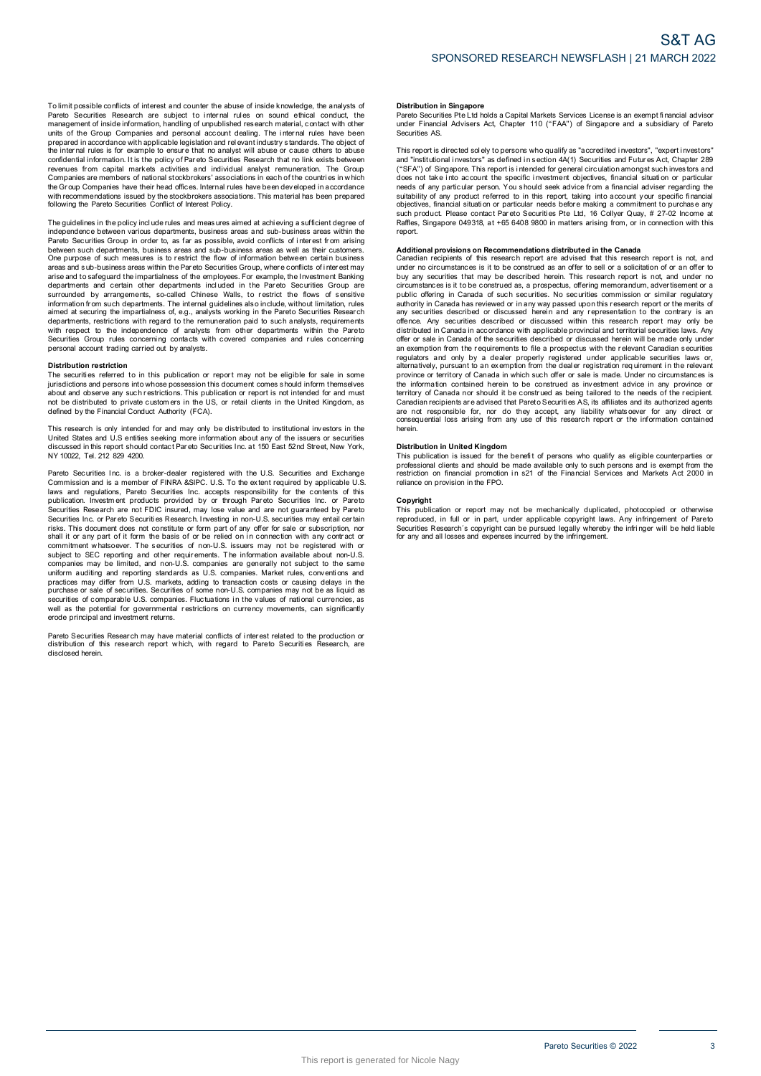To limit possible conflicts of interest and counter the abuse of inside knowledge, the analysts of<br>Pareto Securities Research are subject to internal rules on sound ethical conduct, the<br>management of inside information, ha To limit possible conflicts of interest and counter the abuse of inside knowledge, the analysts of Pareto Securities Research are subject to internal rules on sound ethical conduct, the management of inside information, ha revenues from capital markets activities and individual analyst remuneration. The Group and or the cross conditional and performation and performation and relevant industry standards. The object of<br>the internal rules is for example to ensure that no analyst will abuse or cause others to abuse<br>confidential inf following the Pareto Securities Conflict of Interest Policy. The Group Companies have their head offices. Internal rules have been developed in accordance<br>with recommendations issued by the stockbrokers associations. This material has been prepared<br>following the Pareto Securities Co

independence between various departments, business areas and sub-business areas within the<br>Pareto Securities Group in order to, as far as possible, avoid conflicts of interest from arising Following the Pareto Securities Conflict of Interest Policy.<br>The guidelines in the policy include rules and measures aimed at achieving a sufficient degree of<br>independence between various departments, business areas and su between such departments, business areas and sub-business areas as well as their customers. The guidelines in the policy include rules and measures aimed at achieving a sufficient degree of<br>independence between various departments, business areas and sub-business areas within the<br>Pareto Securities Group in order Done purpose of such measures is to restrict the flow of information between certain business<br>areas and sub-business areas within the Pareto Securities Group, where conflicts of inter est may<br>arise and to safegurard the im departments and certain other departments included in the Pareto Securities Group are<br>surrounded by arrangements, so-called Chinese Walls, to restrict the flows of sensitive<br>information from such departments. The internal Securities Group rules Group rules Concerning in the Concerning contacts without limitation, rules aimed at securing the impartialness of, e.g., analysts working in the Pareto Securities Research departments, restrictions Securities Group rules concerning contacts with covered companies and rules concerning personal account trading carried out by analysts.

**Distribution restriction** jurisdictions and persons into whose possession this document comes s hould inform themselves Distribution restriction<br>The securities referred to in this publication or report may not be eligible for sale in some<br>ilurisdictions and persons into whose possession this document comes should inform themselves<br>about and This research is only intended for and must be distributed to private customers in the US, or retail clients in the United Kingdom, as defined by the Financial Conduct Authority (FCA).<br>This research is only intended for an

Note that the britancial Conduct Authority (FCA).<br>This research is only intended for and may only be distributed to institutional investors in the<br>United States and U.S entities seking more information about any of the iss Pareto Securities Inc. is a broker-dealer registered with the U.S. Securities and U.S entities seking more information about any of the issuers or securities discussed in this report should contact Pareto Securities Inc. a

of also used in this report should contact Pareto Securities Inc. at 150 East 52nd Street, New York, NY 10022, Tel. 212 829 4200.<br>NY 10022, Tel. 212 829 4200.<br>Commission and is a member of FINRA &SIPC. U.S. To the extent r Pareto Securities Inc. a la abroker-dealer registered with the U.S. Securities and Exchange<br>Commission and is a member of FINRA &SIPC. U.S. To the extent required by applicable U.S<br>Idwas and regulations, Pareto Securities Securities Research are not FDIC insured, may lose value and are not guaranteed by Pareto<br>Securities Research are not FDIC insured, may lose value and are not guaranteed by Pareto<br>Securities Inc. or Pareto Securities Resea prominent whatsoever. The securities of non-U.S. issuers may not be registered with or subject to SEC reporting and other requirements. The information available about non-U.S. companies may be limited, and non-U.S. compan uniform auditing and reporting standards as U.S. companies. Market rules, conventions and practices may differ from U.S. markets, adding to transaction costs or causing delays in the purchase or sale of securities. Securit well as the potential for governmental restrictions on currency movements, can significantly erode principal and investment returns. pareto Securities of comparable U.S. comparises. Fluctuations in the values of rational currencies, as<br>well as the potential for governmental restrictions on currency movements, can significantly<br>erode principal and invest

disclosed herein.

### **Distribution in Singapore**

Distribution in Singapore<br>Pareto Securities Pte Ltd holds a Capital Markets Services License is an exempt financial advisor<br>under Financial Advisers Act, Chapter 110 ("FAA") of Singapore and a subsidiary of Pareto under Financial Advisers Act, Chapter 110 ("FAA") of Singapore and a subsidiary of Pareto Securities AS. Pareto Securities Pte Ltd holds a Capital Markets Services License is an exempt financial advisor<br>under Financial Advisers Act, Chapter 110 ("FAA") of Singapore and a subsidiary of Pareto<br>Securities AS.<br>This report is dire

ranco countines it is current and a subsidiary of Practicular and a subsidiary of Pareto<br>such that is report is directed solely to persons who qualify as "accredited investors", "expert investors"<br>and "institutional invest and massicular investors as a terminor investor well, the specific transform and the section of the specific intended for general circulation amongst such investors and<br>does not take into account the specific investment ob report.

such product. Please contact Pareto Securities Pte Ltd, 16 Collyer Quay, # 27-02 Income at<br>such product. Please contact Pareto Securities Pte Ltd, 16 Collyer Quay, # 27-02 Income at<br>Raffles, Singapore 049318, at +65 6408 9 under no circumstances is it to be construed as an offer to sell or a solicitation of or an offer to buy any securities that may be described herein. This research report is not, and under no circumstances is it to be cons under no circumstances is it to be construed as an offer to sell or a solicitation of or an offer to<br>buy any securities that may be described herein. This research report is not, and under no<br>circumstances is it to be cons offence. Any securities described or discussed within this research report may only be distributed in Canada in accordance with applicable provincial and territorial securities laws. Any offer or sale in Canada of the secu offence. Any securities described or discussed within this research report may only be distributed in Canada in accordance with applicable provincial and territorial securities laws. Any offer or sale in Canada of the secu province or territory of Canada in which such offer or sale is made. Under no circumstances is<br>the information contained herein to be construed as being tailored to the needs of the recipient.<br>Carritory of Canada nor shoul province or territory of Canada in which such offer or sale is made. Under no circumstances is<br>province or territory of Canada in which such offer or sale is made. Under no circumstances is<br>territory of Canada nor should i herein.

**Distribution in United Kingdom** professional clients and should be made available only to such persons and is exempt from the metriction on financial promotion in s21 of the Financial Services and Markets Act 2000 in reliance on provision in the FPO. This publication on financial promotion in s21 of the Financial Services and Markets Act 2000 in<br>This publication or report may not be mechanically duplicated, photocopied or otherwise<br>This publication or report may not be

Copyright<br>This publication or report may not be mechanically duplicated, photocopied or otherwise reliance on provision in the FPO.<br> **Copyright**<br>
This publication or report may not be mechanically duplicated, photocopied or otherwise<br>
reproduced, in full or in part, under applicable copyright laws. Any infringement of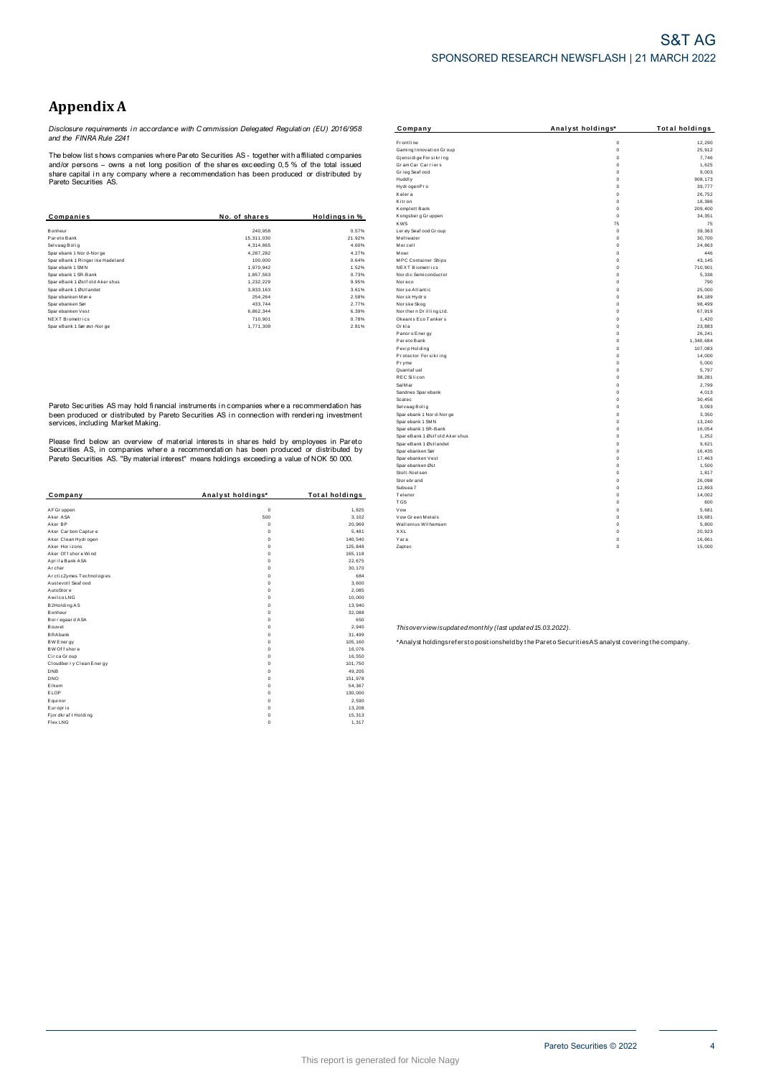## **Appendix A**

*Disclosure requirements i n accordance with C ommission Delegated Regulati on (EU) 2016/958 and the FINRA Rule 2241*

|                                  |               |                     | Komplett Bank           | $\Omega$    | 209,400        |
|----------------------------------|---------------|---------------------|-------------------------|-------------|----------------|
| Companies                        | No. of shares | <b>Holdinasin</b> % | Kongsberg Gruppen       |             | 34,35'         |
|                                  |               |                     | <b>KWS</b>              | 75          | 7 <sup>1</sup> |
| Bonheur                          | 240,958       | 0.57%               | Ler øv Seaf ood Gr oup  | $\mathbf 0$ | 39,363         |
| Pareto Bank                      | 15,311,030    | 21.92%              | Meltwater               | $\mathbf 0$ | 30,700         |
| Selvaag Bolig                    | 4.314.865     | 4.60%               | Mercell                 | $\mathbf 0$ | 24,863         |
| Sparebank 1 Nor d-Nor ge         | 4.287.282     | 4.27%               | Mowi                    | 0           | 446            |
| SpareBank 1 Ringer ike Hadel and | 100,000       | 0.64%               | MPC Container Ships     | $\mathbf 0$ | 43,145         |
| Sparebank 1 SMN                  | 1,970,942     | 1.52%               | NEXT Biometrics         | $\Omega$    | 710,90         |
| Sparebank 1 SR-Bank              | 1,857,563     | 0.73%               | Nor dic Semi conductor  |             | 5,336          |
| SpareBank 1 Østf old Akershus    | 1,232,229     | 9.95%               | Noreco                  | $^{\circ}$  | 790            |
| SpareBank 1 Østlandet            | 3,833,163     | 3.61%               | Nor se Atlantic         | $\Omega$    | 25,000         |
| Sparebanken Møre                 | 254.264       | 2.58%               | Norsk Hydro             | $\Omega$    | 84,189         |
| Spar ebanken Sør                 | 433,744       | 2.77%               | Norske Skog             | $^{\circ}$  | 98,499         |
| Spar ebanken Vest                | 6,862,344     | 6.39%               | Nor thern Drilling Ltd. | $\Omega$    | 67,919         |
| <b>NEXT Biometrics</b>           | 710.901       | 0.78%               | Okeanis Eco Tankers     | $^{\circ}$  | 1,420          |
| SpareBank 1 Sør øst-Nor ge       | 1,771,308     | 2.81%               | Orkla                   | $^{\circ}$  | 23,883         |

|                          |                   |                       | Juusta r                                                  | v                                                                                                 |
|--------------------------|-------------------|-----------------------|-----------------------------------------------------------|---------------------------------------------------------------------------------------------------|
| Company                  | Analyst holdings* | <b>Total holdings</b> | Telenor                                                   | $\Omega$                                                                                          |
|                          |                   |                       | <b>TGS</b>                                                | Ω                                                                                                 |
| AF Gr uppen              | $\mathbf 0$       | 1,825                 | Vow                                                       | $\Omega$                                                                                          |
| Aker ASA                 | 500               | 3,102                 | Vow Green Metals                                          | $\Omega$                                                                                          |
| Aker BP                  |                   | 20,969                | Wallenius Wilhemsen                                       | $\Omega$                                                                                          |
| Aker Carbon Capture      |                   | 5,481                 | XXL                                                       | $^{\circ}$                                                                                        |
| Aker Clean Hydrogen      |                   | 140,540               | Yara                                                      | $\mathbf 0$                                                                                       |
| Aker Horizons            |                   | 125,848               | Zaptec                                                    | $\mathbf 0$                                                                                       |
| Aker Of f shore Wind     |                   | 165,118               |                                                           |                                                                                                   |
| Aprila Bank ASA          |                   | 22,675                |                                                           |                                                                                                   |
| Archer                   |                   | 30,170                |                                                           |                                                                                                   |
| ArcticZymes Technologies |                   | 684                   |                                                           |                                                                                                   |
| Austevoll Seaf ood       |                   | 3,600                 |                                                           |                                                                                                   |
| AutoStore                |                   | 2,085                 |                                                           |                                                                                                   |
| Awilco LNG               |                   | 10,000                |                                                           |                                                                                                   |
| B2Holding AS             |                   | 13,940                |                                                           |                                                                                                   |
| Bonheur                  |                   | 32,088                |                                                           |                                                                                                   |
| Bor regaar d ASA         |                   | 650                   |                                                           |                                                                                                   |
| Bouvet                   |                   | 2,940                 | Thisoverview isupdated monthly (last updated 15.03.2022). |                                                                                                   |
| <b>BRAbank</b>           |                   | 31,499                |                                                           |                                                                                                   |
| <b>BW Energy</b>         |                   | 105,160               |                                                           | *Analyst holdingsrefersto positionsheld by the Pareto Securities AS analyst covering the company. |
| BW Of f shore            |                   | 16.076                |                                                           |                                                                                                   |
| Circa Group              |                   | 16,550                |                                                           |                                                                                                   |
| Cloudber ry Clean Energy |                   | 101,750               |                                                           |                                                                                                   |
| DNB                      |                   | 49,205                |                                                           |                                                                                                   |
| DNO                      |                   | 151,978               |                                                           |                                                                                                   |
| Elkem                    |                   | 54,367                |                                                           |                                                                                                   |
| ELOP                     |                   | 130,000               |                                                           |                                                                                                   |
| Equinor                  |                   | 2,590                 |                                                           |                                                                                                   |
| Europris                 |                   | 13,208                |                                                           |                                                                                                   |
| Fj or dkr af t Holding   |                   | 15,313                |                                                           |                                                                                                   |
| Flex LNG                 |                   | 1,317                 |                                                           |                                                                                                   |

| Appendix A                                                                                                                                                                                    |                                                                                              |                       |                                               |                                     |                       |
|-----------------------------------------------------------------------------------------------------------------------------------------------------------------------------------------------|----------------------------------------------------------------------------------------------|-----------------------|-----------------------------------------------|-------------------------------------|-----------------------|
|                                                                                                                                                                                               | Disclosure requirements in accordance with Commission Delegated Regulation (EU) 2016/958     |                       | Company                                       | Analyst holdings*                   | <b>Total holdings</b> |
| and the FINRA Rule 2241                                                                                                                                                                       |                                                                                              |                       | <b>Frontline</b><br>Gaming Innovation Group   | $\mathbf 0$<br>$\ddot{\phantom{0}}$ | 12,290<br>25,912      |
| The below list shows companies where Pareto Securities AS - together with affiliated companies<br>and/or persons – owns a net long position of the shares exceeding 0,5 % of the total issued |                                                                                              |                       | Gjensidige For sikring<br>Gram Car Carriers   | $\overline{0}$<br>$\Omega$          | 7,746<br>1,625        |
| Pareto Securities AS.                                                                                                                                                                         | share capital in any company where a recommendation has been produced or distributed by      |                       | Grieg Seaf ood<br>Huddly                      | $\Omega$<br>$\Omega$                | 9,003<br>908, 173     |
|                                                                                                                                                                                               |                                                                                              |                       | Hydr ogenPro<br>Kalera                        | $\Omega$<br>$\Omega$                | 39,777<br>26,752      |
|                                                                                                                                                                                               |                                                                                              |                       | Kitr on<br>Komplett Bank                      | $\mathbf 0$<br>$\mathbf 0$          | 18,386<br>209,400     |
| Companies                                                                                                                                                                                     | No. of shares                                                                                | Holdings in %         | Kongsberg Gruppen                             | $\mathbf 0$                         | 34,351                |
|                                                                                                                                                                                               |                                                                                              |                       | <b>KWS</b>                                    | 75                                  | 75                    |
| Bonheur                                                                                                                                                                                       | 240,958                                                                                      | 0.57%                 | Ler øy Seaf ood Gr oup                        | $\ddot{\phantom{0}}$                | 39,363                |
| Pareto Bank                                                                                                                                                                                   | 15,311,030                                                                                   | 21.92%                | Meltwater                                     | $\Omega$                            | 30,700                |
| Selvaag Bolig                                                                                                                                                                                 | 4,314,865                                                                                    | 4.60%                 | Mercell                                       | $\Omega$                            | 24,863                |
| Sparebank 1 Nor d-Nor ge                                                                                                                                                                      | 4,287,282                                                                                    | 4.27%                 | Mowi                                          | $\circ$                             | 446                   |
| SpareBank 1 Ringer ike Hadeland                                                                                                                                                               | 100,000                                                                                      | 0.64%                 | MPC Container Ships                           | $\Omega$                            | 43,145                |
| Sparebank 1 SMN                                                                                                                                                                               | 1,970,942                                                                                    | 1.52%                 | <b>NEXT Biometrics</b>                        | $\mathbf 0$                         | 710,901               |
| Sparebank 1 SR-Bank<br>SpareBank 1 Østf old Akershus                                                                                                                                          | 1,857,563<br>1,232,229                                                                       | 0.73%<br>9.95%        | Nor dic Semi conductor<br>Nor eco             | $\circ$<br>$\Omega$                 | 5,336<br>790          |
| SpareBank 1 Østlandet                                                                                                                                                                         | 3,833,163                                                                                    | 3.61%                 | Norse Atlantic                                | $\Omega$                            | 25,000                |
| Sparebanken Møre                                                                                                                                                                              | 254,264                                                                                      | 2.58%                 | Norsk Hydro                                   | $\Omega$                            | 84,189                |
| Sparebanken Sør                                                                                                                                                                               | 433,744                                                                                      | 2.77%                 | Nor ske Skog                                  | $\Omega$                            | 98,499                |
| Sparebanken Vest                                                                                                                                                                              | 6,862,344                                                                                    | 6.39%                 | Nor thern Drilling Ltd.                       | $\circ$                             | 67,919                |
| NEXT Biometrics                                                                                                                                                                               | 710,901                                                                                      | 0.78%                 | Okeanis Eco Tankers                           | $\mathbf 0$                         | 1,420                 |
| SpareBank 1 Sørøst-Norge                                                                                                                                                                      | 1,771,308                                                                                    | 2.81%                 | Orkla                                         | $\mathbf 0$                         | 23,883                |
|                                                                                                                                                                                               |                                                                                              |                       | Panor o Ener gy                               | $\Omega$                            | 26,241                |
|                                                                                                                                                                                               |                                                                                              |                       | Par eto Bank                                  | $\Omega$                            | 1,340,684             |
|                                                                                                                                                                                               |                                                                                              |                       | Pexip Holding                                 | $\Omega$                            | 107,083               |
|                                                                                                                                                                                               |                                                                                              |                       | Protector Forsikring                          | $\Omega$                            | 14,000                |
|                                                                                                                                                                                               |                                                                                              |                       | Pryme                                         | $\mathbf 0$                         | 5,000                 |
|                                                                                                                                                                                               |                                                                                              |                       | Quantaf uel                                   | $\Omega$                            | 5,797                 |
|                                                                                                                                                                                               |                                                                                              |                       | <b>REC Silicon</b>                            | $\mathbf 0$                         | 38.281                |
|                                                                                                                                                                                               |                                                                                              |                       | Sal Mar                                       | $\mathbf 0$                         | 2,799                 |
|                                                                                                                                                                                               |                                                                                              |                       | Sandnes Spar ebank                            | $\circ$                             | 4,013                 |
|                                                                                                                                                                                               |                                                                                              |                       | Scatec                                        | $\mathbf 0$                         | 30,456                |
| Pareto Securities AS may hold financial instruments in companies where a recommendation has                                                                                                   |                                                                                              |                       | Selvaag Bolig                                 | $\Omega$                            | 3,093                 |
|                                                                                                                                                                                               | been produced or distributed by Pareto Securities AS in connection with rendering investment |                       | Spar ebank 1 Nor d-Nor ge<br>Spar ebank 1 SMN | $\Omega$<br>$\Omega$                | 3,350<br>13,240       |
| services, including Market Making.                                                                                                                                                            |                                                                                              |                       | Spar ebank 1 SR-Bank                          | $\mathbf 0$                         | 16,054                |
|                                                                                                                                                                                               |                                                                                              |                       | SpareBank 1 Østf old Aker shus                | $\mathbf 0$                         | 1,252                 |
|                                                                                                                                                                                               | Please find below an overview of material interests in shares held by employees in Pareto    |                       | SpareBank 1 Østlandet                         | $\Omega$                            | 9,621                 |
| Securities AS, in companies where a recommendation has been produced or distributed by                                                                                                        |                                                                                              |                       | Spar ebanken Sør                              | $\Omega$                            | 16,435                |
|                                                                                                                                                                                               | Pareto Securities AS. "By material interest" means holdings exceeding a value of NOK 50 000. |                       | Spar ebanken Vest                             | $\mathbf 0$                         | 17,463                |
|                                                                                                                                                                                               |                                                                                              |                       | Spar ebanken Øst                              | $\Omega$                            | 1,500                 |
|                                                                                                                                                                                               |                                                                                              |                       | Stolt-Nielsen                                 | $\Omega$                            | 1,817                 |
|                                                                                                                                                                                               |                                                                                              |                       | Stor ebr and                                  | $\circ$                             | 26,098                |
|                                                                                                                                                                                               |                                                                                              |                       | Subsea 7                                      | $\mathbf 0$                         | 12.893                |
| Company                                                                                                                                                                                       | Analyst holdings*                                                                            | <b>Total holdings</b> | Telenor                                       | $\circ$                             | 14,002                |
|                                                                                                                                                                                               |                                                                                              |                       | <b>TGS</b>                                    | $\Omega$                            | 600                   |
| AF Gruppen                                                                                                                                                                                    | $\bf{0}$                                                                                     | 1,825                 | Vow                                           | $\circ$                             | 5,681                 |
| Aker ASA                                                                                                                                                                                      | 500                                                                                          | 3,102                 | Vow Green Metals                              | $\Omega$                            | 19,681                |
| Aker BP                                                                                                                                                                                       | $\Omega$                                                                                     | 20,969                | Wallenius Wilhemsen                           | $\Omega$                            | 5,800                 |
| Aker Carbon Capture                                                                                                                                                                           | $\Omega$                                                                                     | 5,481                 | XXL                                           | $\Omega$                            | 20,923                |
| Aker Clean Hydrogen                                                                                                                                                                           | $\circ$                                                                                      | 140,540               | Yara                                          | $\Omega$                            | 16,661                |
| Aker Horizons                                                                                                                                                                                 | $\mathbf{0}$                                                                                 | 125,848               | Zaptec                                        | $\Omega$                            | 15,000                |